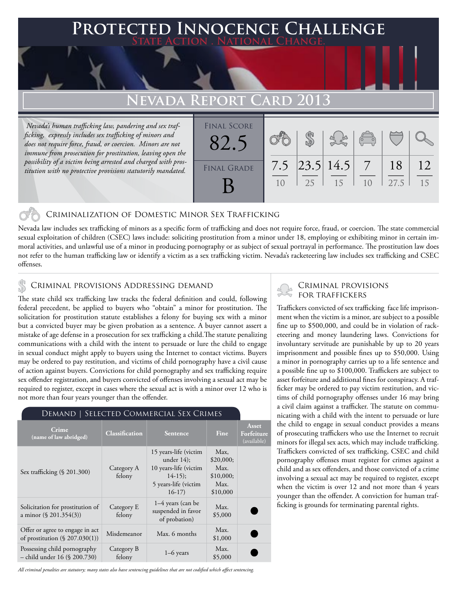### **PTED INNOCENCE CHALLENGE State Action . National Change.**

# **Nevada Report Card 2013**

 *Nevada's human trafficking law, pandering and sex trafficking, expressly includes sex trafficking of minors and does not require force, fraud, or coercion. Minors are not immune from prosecution for prostitution, leaving open the possibility of a victim being arrested and charged with prostitution with no protective provisions statutorily mandated.*

| <b>FINAL SCORE</b> |           |    |                   | $\overline{a}$ |            |          |
|--------------------|-----------|----|-------------------|----------------|------------|----------|
| <b>FINAL GRADE</b> | 7.5<br>10 | 25 | 23.5 14.5 <br>-15 | 1 <sub>0</sub> | 18<br>27.5 | 12<br>15 |

#### Criminalization of Domestic Minor Sex Trafficking

Nevada law includes sex trafficking of minors as a specific form of trafficking and does not require force, fraud, or coercion. The state commercial sexual exploitation of children (CSEC) laws include: soliciting prostitution from a minor under 18, employing or exhibiting minor in certain immoral activities, and unlawful use of a minor in producing pornography or as subject of sexual portrayal in performance. The prostitution law does not refer to the human trafficking law or identify a victim as a sex trafficking victim. Nevada's racketeering law includes sex trafficking and CSEC offenses.

#### Criminal provisions Addressing demand

The state child sex trafficking law tracks the federal definition and could, following federal precedent, be applied to buyers who "obtain" a minor for prostitution. The solicitation for prostitution statute establishes a felony for buying sex with a minor but a convicted buyer may be given probation as a sentence. A buyer cannot assert a mistake of age defense in a prosecution for sex trafficking a child.The statute penalizing communications with a child with the intent to persuade or lure the child to engage in sexual conduct might apply to buyers using the Internet to contact victims. Buyers may be ordered to pay restitution, and victims of child pornography have a civil cause of action against buyers. Convictions for child pornography and sex trafficking require sex offender registration, and buyers convicted of offenses involving a sexual act may be required to register, except in cases where the sexual act is with a minor over 12 who is not more than four years younger than the offender.

| DEMAND   SELECTED COMMERCIAL SEX CRIMES                              |                       |                                                                                                                |                                                            |                                    |  |
|----------------------------------------------------------------------|-----------------------|----------------------------------------------------------------------------------------------------------------|------------------------------------------------------------|------------------------------------|--|
| Crime<br>(name of law abridged)                                      | <b>Classification</b> | <b>Sentence</b>                                                                                                | Fine                                                       | Asset<br>Forfeiture<br>(available) |  |
| Sex trafficking (§ 201.300)                                          | Category A<br>felony  | 15 years-life (victim<br>under $14$ ;<br>10 years-life (victim<br>$14-15$ ;<br>5 years-life (victim<br>$16-17$ | Max,<br>\$20,000;<br>Max.<br>\$10,000;<br>Max.<br>\$10,000 |                                    |  |
| Solicitation for prostitution of<br>a minor $(\S$ 201.354(3))        | Category E<br>felony  | $1-4$ years (can be<br>suspended in favor<br>of probation)                                                     | Max.<br>\$5,000                                            |                                    |  |
| Offer or agree to engage in act<br>of prostitution $(\S 207.030(1))$ | Misdemeanor           | Max. 6 months                                                                                                  | Max.<br>\$1,000                                            |                                    |  |
| Possessing child pornography<br>- child under 16 (§ 200.730)         | Category B<br>felony  | $1-6$ years                                                                                                    | Max.<br>\$5,000                                            |                                    |  |

#### Demand | Selected Commercial Sex Crimes

# Criminal provisions

Traffickers convicted of sex trafficking face life imprisonment when the victim is a minor, are subject to a possible fine up to \$500,000, and could be in violation of racketeering and money laundering laws. Convictions for involuntary servitude are punishable by up to 20 years imprisonment and possible fines up to \$50,000. Using a minor in pornography carries up to a life sentence and a possible fine up to \$100,000. Traffickers are subject to asset forfeiture and additional fines for conspiracy. A trafficker may be ordered to pay victim restitution, and victims of child pornography offenses under 16 may bring a civil claim against a trafficker. The statute on communicating with a child with the intent to persuade or lure the child to engage in sexual conduct provides a means of prosecuting traffickers who use the Internet to recruit minors for illegal sex acts, which may include trafficking. Traffickers convicted of sex trafficking, CSEC and child pornography offenses must register for crimes against a child and as sex offenders, and those convicted of a crime involving a sexual act may be required to register, except when the victim is over 12 and not more than 4 years younger than the offender. A conviction for human trafficking is grounds for terminating parental rights.

*All criminal penalties are statutory; many states also have sentencing guidelines that are not codified which affect sentencing.*